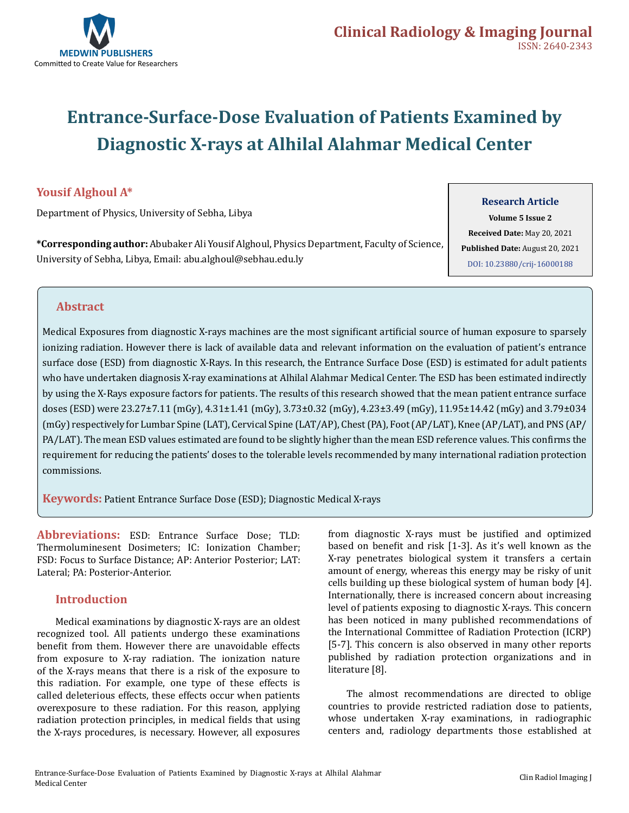

# **Entrance-Surface-Dose Evaluation of Patients Examined by Diagnostic X-rays at Alhilal Alahmar Medical Center**

### **Yousif Alghoul A\***

Department of Physics, University of Sebha, Libya

**\*Corresponding author:** Abubaker Ali Yousif Alghoul, Physics Department, Faculty of Science, University of Sebha, Libya, Email: abu.alghoul@sebhau.edu.ly

### **Research Article**

**Volume 5 Issue 2 Received Date:** May 20, 2021 **Published Date:** August 20, 2021 [DOI: 10.23880/crij-16000188](https://doi.org/10.23880/crij-16000188)

### **Abstract**

Medical Exposures from diagnostic X-rays machines are the most significant artificial source of human exposure to sparsely ionizing radiation. However there is lack of available data and relevant information on the evaluation of patient's entrance surface dose (ESD) from diagnostic X-Rays. In this research, the Entrance Surface Dose (ESD) is estimated for adult patients who have undertaken diagnosis X-ray examinations at Alhilal Alahmar Medical Center. The ESD has been estimated indirectly by using the X-Rays exposure factors for patients. The results of this research showed that the mean patient entrance surface doses (ESD) were 23.27±7.11 (mGy), 4.31±1.41 (mGy), 3.73±0.32 (mGy), 4.23±3.49 (mGy), 11.95±14.42 (mGy) and 3.79±034 (mGy) respectively for Lumbar Spine (LAT), Cervical Spine (LAT/AP), Chest (PA), Foot (AP/LAT), Knee (AP/LAT), and PNS (AP/ PA/LAT). The mean ESD values estimated are found to be slightly higher than the mean ESD reference values. This confirms the requirement for reducing the patients' doses to the tolerable levels recommended by many international radiation protection commissions.

**Keywords:** Patient Entrance Surface Dose (ESD); Diagnostic Medical X-rays

**Abbreviations:** ESD: Entrance Surface Dose; TLD: Thermoluminesent Dosimeters; IC: Ionization Chamber; FSD: Focus to Surface Distance; AP: Anterior Posterior; LAT: Lateral; PA: Posterior-Anterior.

### **Introduction**

Medical examinations by diagnostic X-rays are an oldest recognized tool. All patients undergo these examinations benefit from them. However there are unavoidable effects from exposure to X-ray radiation. The ionization nature of the X-rays means that there is a risk of the exposure to this radiation. For example, one type of these effects is called deleterious effects, these effects occur when patients overexposure to these radiation. For this reason, applying radiation protection principles, in medical fields that using the X-rays procedures, is necessary. However, all exposures

from diagnostic X-rays must be justified and optimized based on benefit and risk [1-3]. As it's well known as the X-ray penetrates biological system it transfers a certain amount of energy, whereas this energy may be risky of unit cells building up these biological system of human body [4]. Internationally, there is increased concern about increasing level of patients exposing to diagnostic X-rays. This concern has been noticed in many published recommendations of the International Committee of Radiation Protection (ICRP) [5-7]. This concern is also observed in many other reports published by radiation protection organizations and in literature [8].

The almost recommendations are directed to oblige countries to provide restricted radiation dose to patients, whose undertaken X-ray examinations, in radiographic centers and, radiology departments those established at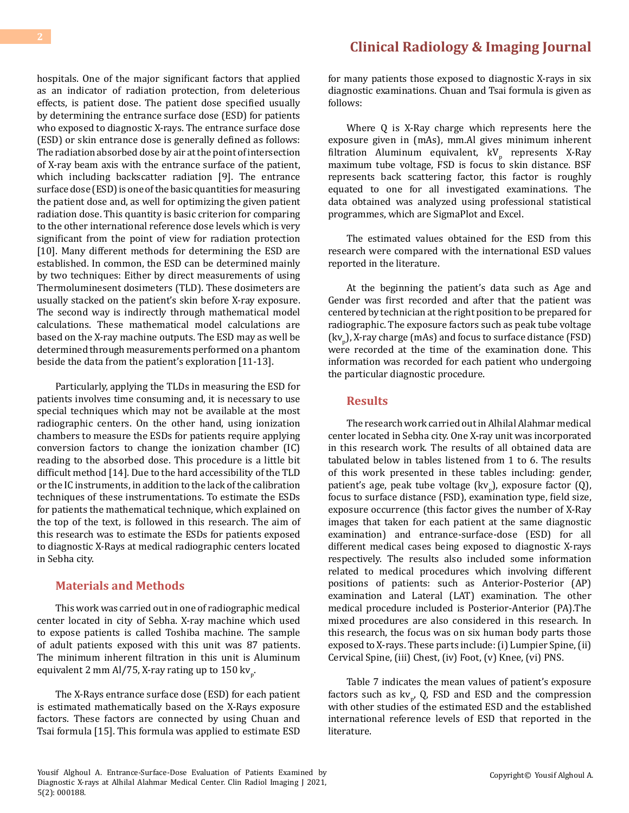hospitals. One of the major significant factors that applied as an indicator of radiation protection, from deleterious effects, is patient dose. The patient dose specified usually by determining the entrance surface dose (ESD) for patients who exposed to diagnostic X-rays. The entrance surface dose (ESD) or skin entrance dose is generally defined as follows: The radiation absorbed dose by air at the point of intersection of X-ray beam axis with the entrance surface of the patient, which including backscatter radiation [9]. The entrance surface dose (ESD) is one of the basic quantities for measuring the patient dose and, as well for optimizing the given patient radiation dose. This quantity is basic criterion for comparing to the other international reference dose levels which is very significant from the point of view for radiation protection [10]. Many different methods for determining the ESD are established. In common, the ESD can be determined mainly by two techniques: Either by direct measurements of using Thermoluminesent dosimeters (TLD). These dosimeters are usually stacked on the patient's skin before X-ray exposure. The second way is indirectly through mathematical model calculations. These mathematical model calculations are based on the X-ray machine outputs. The ESD may as well be determined through measurements performed on a phantom

Particularly, applying the TLDs in measuring the ESD for patients involves time consuming and, it is necessary to use special techniques which may not be available at the most radiographic centers. On the other hand, using ionization chambers to measure the ESDs for patients require applying conversion factors to change the ionization chamber (IC) reading to the absorbed dose. This procedure is a little bit difficult method [14]. Due to the hard accessibility of the TLD or the IC instruments, in addition to the lack of the calibration techniques of these instrumentations. To estimate the ESDs for patients the mathematical technique, which explained on the top of the text, is followed in this research. The aim of this research was to estimate the ESDs for patients exposed to diagnostic X-Rays at medical radiographic centers located in Sebha city.

beside the data from the patient's exploration [11-13].

#### **Materials and Methods**

This work was carried out in one of radiographic medical center located in city of Sebha. X-ray machine which used to expose patients is called Toshiba machine. The sample of adult patients exposed with this unit was 87 patients. The minimum inherent filtration in this unit is Aluminum equivalent 2 mm Al/75, X-ray rating up to 150 kv<sub>p</sub>.

The X-Rays entrance surface dose (ESD) for each patient is estimated mathematically based on the X-Rays exposure factors. These factors are connected by using Chuan and Tsai formula [15]. This formula was applied to estimate ESD

### **[Clinical Radiology & Imaging Journal](https://medwinpublishers.com/CRIJ/)**

for many patients those exposed to diagnostic X-rays in six diagnostic examinations. Chuan and Tsai formula is given as follows:

Where Q is X-Ray charge which represents here the exposure given in (mAs), mm.Al gives minimum inherent filtration Aluminum equivalent,  $kV_p$  represents X-Ray maximum tube voltage, FSD is focus to skin distance. BSF represents back scattering factor, this factor is roughly equated to one for all investigated examinations. The data obtained was analyzed using professional statistical programmes, which are SigmaPlot and Excel.

The estimated values obtained for the ESD from this research were compared with the international ESD values reported in the literature.

At the beginning the patient's data such as Age and Gender was first recorded and after that the patient was centered by technician at the right position to be prepared for radiographic. The exposure factors such as peak tube voltage  $\text{(kv}_{\text{p}}\text{)},$  X-ray charge (mAs) and focus to surface distance (FSD) were recorded at the time of the examination done. This information was recorded for each patient who undergoing the particular diagnostic procedure.

#### **Results**

The research work carried out in Alhilal Alahmar medical center located in Sebha city. One X-ray unit was incorporated in this research work. The results of all obtained data are tabulated below in tables listened from 1 to 6. The results of this work presented in these tables including: gender, patient's age, peak tube voltage  $(kv_p)$ , exposure factor (Q), focus to surface distance (FSD), examination type, field size, exposure occurrence (this factor gives the number of X-Ray images that taken for each patient at the same diagnostic examination) and entrance-surface-dose (ESD) for all different medical cases being exposed to diagnostic X-rays respectively. The results also included some information related to medical procedures which involving different positions of patients: such as Anterior-Posterior (AP) examination and Lateral (LAT) examination. The other medical procedure included is Posterior-Anterior (PA).The mixed procedures are also considered in this research. In this research, the focus was on six human body parts those exposed to X-rays. These parts include: (i) Lumpier Spine, (ii) Cervical Spine, (iii) Chest, (iv) Foot, (v) Knee, (vi) PNS.

Table 7 indicates the mean values of patient's exposure factors such as  $kv_p$ , Q, FSD and ESD and the compression with other studies of the estimated ESD and the established international reference levels of ESD that reported in the literature.

Yousif Alghoul A. Entrance-Surface-Dose Evaluation of Patients Examined by Diagnostic X-rays at Alhilal Alahmar Medical Center. Clin Radiol Imaging J 2021, 5(2): 000188.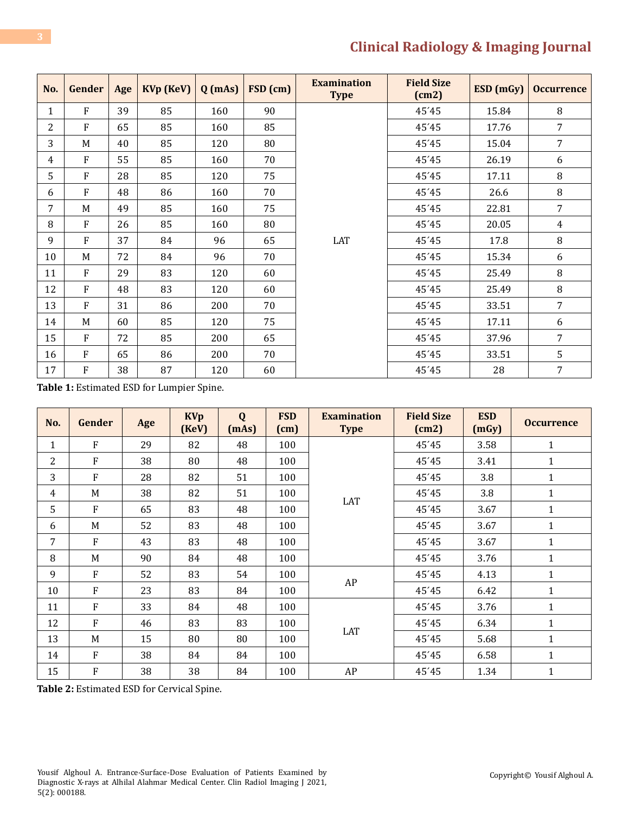| No.            | Gender       | Age | KVp (KeV) | $Q$ (mAs) | FSD (cm) | <b>Examination</b><br><b>Type</b> | <b>Field Size</b><br>(cm2) | ESD(mGy) | <b>Occurrence</b> |
|----------------|--------------|-----|-----------|-----------|----------|-----------------------------------|----------------------------|----------|-------------------|
| 1              | F            | 39  | 85        | 160       | 90       |                                   | 45'45                      | 15.84    | 8                 |
| $\overline{2}$ | F            | 65  | 85        | 160       | 85       |                                   | 45'45                      | 17.76    | 7                 |
| 3              | M            | 40  | 85        | 120       | 80       |                                   | 45'45                      | 15.04    | $\overline{7}$    |
| 4              | $\mathbf{F}$ | 55  | 85        | 160       | 70       |                                   | 45'45                      | 26.19    | 6                 |
| 5.             | $\mathbf{F}$ | 28  | 85        | 120       | 75       |                                   | 45'45                      | 17.11    | 8                 |
| 6              | $\mathbf{F}$ | 48  | 86        | 160       | 70       |                                   | 45'45                      | 26.6     | 8                 |
| 7              | M            | 49  | 85        | 160       | 75       |                                   | 45'45                      | 22.81    | 7                 |
| 8              | $\mathbf{F}$ | 26  | 85        | 160       | 80       |                                   | 45'45                      | 20.05    | $\overline{4}$    |
| 9              | $\mathbf{F}$ | 37  | 84        | 96        | 65       | LAT                               | 45'45                      | 17.8     | 8                 |
| 10             | M            | 72  | 84        | 96        | 70       |                                   | 45'45                      | 15.34    | 6                 |
| 11             | $\mathbf{F}$ | 29  | 83        | 120       | 60       |                                   | 45'45                      | 25.49    | 8                 |
| 12             | $\mathbf{F}$ | 48  | 83        | 120       | 60       |                                   | 45'45                      | 25.49    | 8                 |
| 13             | $\mathbf{F}$ | 31  | 86        | 200       | 70       |                                   | 45'45                      | 33.51    | $\overline{7}$    |
| 14             | M            | 60  | 85        | 120       | 75       |                                   | 45'45                      | 17.11    | 6                 |
| 15             | $\mathbf{F}$ | 72  | 85        | 200       | 65       |                                   | 45'45                      | 37.96    | 7                 |
| 16             | $\mathbf{F}$ | 65  | 86        | 200       | 70       |                                   | 45'45                      | 33.51    | 5                 |
| 17             | $\rm F$      | 38  | 87        | 120       | 60       |                                   | 45'45                      | 28       | $\overline{7}$    |

**Table 1:** Estimated ESD for Lumpier Spine.

| No.            | Gender       | Age | <b>KVp</b><br>(KeV) | Q<br>(mAs) | <b>FSD</b><br>(cm) | <b>Examination</b><br><b>Type</b> | <b>Field Size</b><br>(cm2) | <b>ESD</b><br>(mGy) | <b>Occurrence</b> |
|----------------|--------------|-----|---------------------|------------|--------------------|-----------------------------------|----------------------------|---------------------|-------------------|
| $\mathbf{1}$   | F            | 29  | 82                  | 48         | 100                |                                   | 45'45                      | 3.58                | 1                 |
| $\overline{2}$ | F            | 38  | 80                  | 48         | 100                |                                   | 45'45                      | 3.41                | $\mathbf{1}$      |
| 3              | F            | 28  | 82                  | 51         | 100                |                                   | 45'45                      | 3.8                 | 1                 |
| $\overline{4}$ | M            | 38  | 82                  | 51         | 100                |                                   | 45'45                      | 3.8                 | $\mathbf{1}$      |
| 5              | $\mathbf{F}$ | 65  | 83                  | 48         | 100                | LAT                               | 45'45                      | 3.67                | $\mathbf{1}$      |
| 6              | M            | 52  | 83                  | 48         | 100                |                                   | 45'45                      | 3.67                | $\mathbf{1}$      |
| 7              | F            | 43  | 83                  | 48         | 100                |                                   | 45'45                      | 3.67                | $\mathbf{1}$      |
| 8              | M            | 90  | 84                  | 48         | 100                |                                   | 45'45                      | 3.76                | $\mathbf{1}$      |
| 9              | F            | 52  | 83                  | 54         | 100                |                                   | 45'45                      | 4.13                | 1                 |
| 10             | F            | 23  | 83                  | 84         | 100                | AP                                | 45'45                      | 6.42                | $\mathbf{1}$      |
| 11             | $\mathbf{F}$ | 33  | 84                  | 48         | 100                |                                   | 45'45                      | 3.76                | $\mathbf{1}$      |
| 12             | F            | 46  | 83                  | 83         | 100                |                                   | 45'45                      | 6.34                | $\mathbf{1}$      |
| 13             | M            | 15  | 80                  | 80         | 100                | LAT                               | 45'45                      | 5.68                | $\mathbf{1}$      |
| 14             | F            | 38  | 84                  | 84         | 100                |                                   | 45'45                      | 6.58                | $\mathbf{1}$      |
| 15             | F            | 38  | 38                  | 84         | 100                | AP                                | 45'45                      | 1.34                | $\mathbf{1}$      |

**Table 2:** Estimated ESD for Cervical Spine.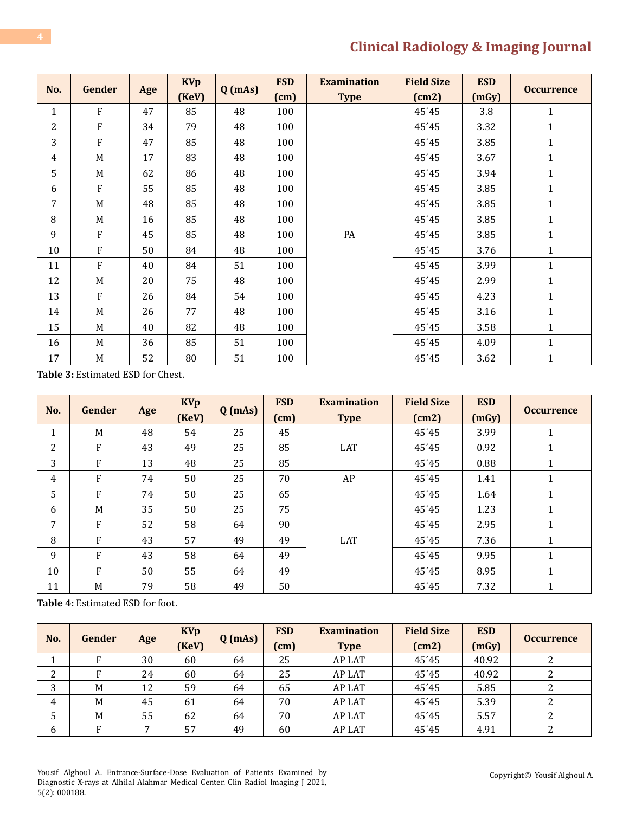|                | Gender       |     | <b>KVp</b>  |           | <b>FSD</b> | <b>Examination</b> | <b>Field Size</b> | <b>ESD</b> | <b>Occurrence</b> |  |
|----------------|--------------|-----|-------------|-----------|------------|--------------------|-------------------|------------|-------------------|--|
| No.            |              | Age | $($ KeV $)$ | $Q$ (mAs) | (cm)       | <b>Type</b>        | (cm2)             | (mGy)      |                   |  |
| $\mathbf{1}$   | $\mathbf{F}$ | 47  | 85          | 48        | 100        |                    | 45'45             | 3.8        | 1                 |  |
| $\overline{2}$ | $\mathbf{F}$ | 34  | 79          | 48        | 100        |                    | 45'45             | 3.32       | $\mathbf{1}$      |  |
| 3              | $\mathbf{F}$ | 47  | 85          | 48        | 100        |                    | 45'45             | 3.85       | $\mathbf{1}$      |  |
| 4              | M            | 17  | 83          | 48        | 100        |                    | 45'45             | 3.67       | 1                 |  |
| 5              | M            | 62  | 86          | 48        | 100        |                    | 45'45             | 3.94       | $\mathbf{1}$      |  |
| 6              | ${\bf F}$    | 55  | 85          | 48        | 100        |                    | 45'45             | 3.85       | 1                 |  |
| 7              | M            | 48  | 85          | 48        | 100        |                    | 45'45             | 3.85       | $\mathbf{1}$      |  |
| 8              | M            | 16  | 85          | 48        | 100        |                    | 45'45             | 3.85       | $\mathbf{1}$      |  |
| 9              | $\mathbf{F}$ | 45  | 85          | 48        | 100        | PA                 | 45'45             | 3.85       | $\mathbf{1}$      |  |
| 10             | $\rm F$      | 50  | 84          | 48        | 100        |                    | 45'45             | 3.76       | $\mathbf{1}$      |  |
| 11             | $\mathbf{F}$ | 40  | 84          | 51        | 100        |                    | 45'45             | 3.99       | $\mathbf{1}$      |  |
| 12             | M            | 20  | 75          | 48        | 100        |                    | 45'45             | 2.99       | $\mathbf{1}$      |  |
| 13             | $\mathbf{F}$ | 26  | 84          | 54        | 100        |                    | 45'45             | 4.23       | $\mathbf{1}$      |  |
| 14             | M            | 26  | 77          | 48        | 100        |                    | 45'45             | 3.16       | $\mathbf{1}$      |  |
| 15             | M            | 40  | 82          | 48        | 100        |                    | 45'45             | 3.58       | 1                 |  |
| 16             | M            | 36  | 85          | 51        | 100        |                    | 45'45             | 4.09       | 1                 |  |
| 17             | M            | 52  | 80          | 51        | 100        |                    | 45'45             | 3.62       | $\mathbf{1}$      |  |

**Table 3:** Estimated ESD for Chest.

| No.            | Gender |    | <b>KVp</b>  |           | <b>FSD</b> | <b>Examination</b> | <b>Field Size</b> | <b>ESD</b> | <b>Occurrence</b> |  |
|----------------|--------|----|-------------|-----------|------------|--------------------|-------------------|------------|-------------------|--|
|                | Age    |    | $($ KeV $)$ | $Q$ (mAs) | (cm)       | <b>Type</b>        | (cm2)             | (mGy)      |                   |  |
| 1              | M      | 48 | 54          | 25        | 45         |                    | 45'45             | 3.99       | 1                 |  |
| 2              | F      | 43 | 49          | 25        | 85         | LAT                | 45'45             | 0.92       | 1                 |  |
| 3              | F      | 13 | 48          | 25        | 85         |                    | 45'45             | 0.88       | 1                 |  |
| $\overline{4}$ | F      | 74 | 50          | 25        | 70         | AP                 | 45'45             | 1.41       | 1                 |  |
| 5              | F      | 74 | 50          | 25        | 65         |                    | 45'45             | 1.64       | 1                 |  |
| 6              | M      | 35 | 50          | 25        | 75         |                    | 45'45             | 1.23       | 1                 |  |
| 7              | F      | 52 | 58          | 64        | 90         |                    | 45'45             | 2.95       | $\mathbf{1}$      |  |
| 8              | F      | 43 | 57          | 49        | 49         | <b>LAT</b>         | 45'45             | 7.36       | $\mathbf{1}$      |  |
| 9              | F      | 43 | 58          | 64        | 49         |                    | 45'45             | 9.95       | 1                 |  |
| 10             | F      | 50 | 55          | 64        | 49         |                    | 45'45             | 8.95       | $\mathbf{1}$      |  |
| 11             | M      | 79 | 58          | 49        | 50         |                    | 45'45             | 7.32       | 1                 |  |

**Table 4:** Estimated ESD for foot.

| No.    | Gender | Age          | <b>KVp</b><br>$($ KeV $)$ | $Q$ (mAs) | <b>FSD</b><br>(cm) | <b>Examination</b><br><b>Type</b> | <b>Field Size</b><br>(cm2) | <b>ESD</b><br>(mGy) | <b>Occurrence</b> |
|--------|--------|--------------|---------------------------|-----------|--------------------|-----------------------------------|----------------------------|---------------------|-------------------|
| Τ.     | F      | 30           | 60                        | 64        | 25                 | <b>AP LAT</b>                     | 45'45                      | 40.92               | ົາ                |
| 2<br>▵ | Е      | 24           | 60                        | 64        | 25                 | <b>AP LAT</b>                     | 45'45                      | 40.92               |                   |
| 3      | M      | 12           | 59                        | 64        | 65                 | <b>AP LAT</b>                     | 45'45                      | 5.85                |                   |
| 4      | M      | 45           | 61                        | 64        | 70                 | <b>AP LAT</b>                     | 45'45                      | 5.39                |                   |
| 5      | M      | 55           | 62                        | 64        | 70                 | <b>AP LAT</b>                     | 45'45                      | 5.57                | ົາ                |
| 6      | Е      | $\mathbf{r}$ | 57                        | 49        | 60                 | <b>AP LAT</b>                     | 45'45                      | 4.91                |                   |

Yousif Alghoul A. Entrance-Surface-Dose Evaluation of Patients Examined by Diagnostic X-rays at Alhilal Alahmar Medical Center. Clin Radiol Imaging J 2021, 5(2): 000188.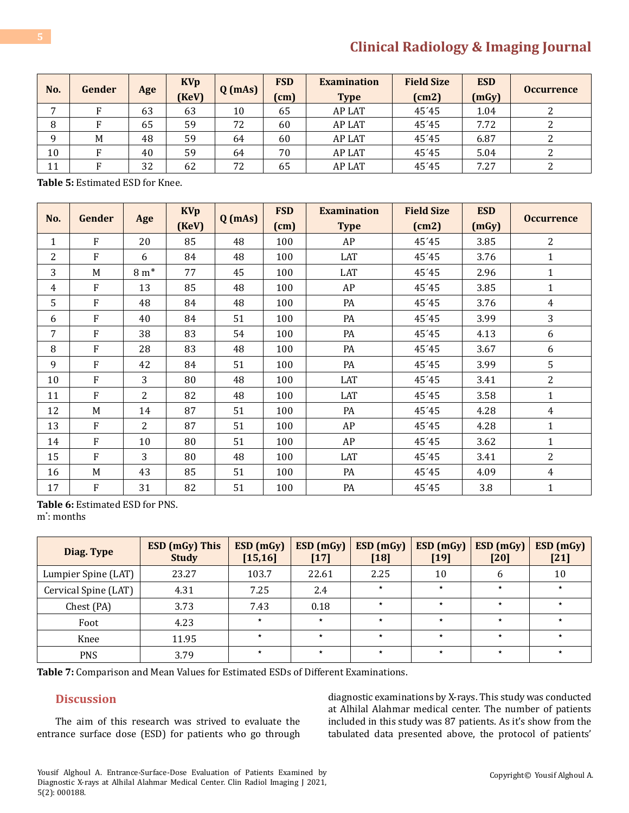| No.<br>Gender  |   |     | <b>KVp</b>  |           | <b>FSD</b> | <b>Examination</b> | <b>Field Size</b> | <b>ESD</b> | <b>Occurrence</b> |
|----------------|---|-----|-------------|-----------|------------|--------------------|-------------------|------------|-------------------|
|                |   | Age | $($ KeV $)$ | $Q$ (mAs) | (cm)       | <b>Type</b>        | (cm2)             | (mGy)      |                   |
| $\overline{ }$ | Е | 63  | 63          | 10        | 65         | <b>AP LAT</b>      | 45'45             | 1.04       |                   |
| 8              | Е | 65  | 59          | 72        | 60         | <b>AP LAT</b>      | 45'45             | 7.72       |                   |
| a              | M | 48  | 59          | 64        | 60         | <b>AP LAT</b>      | 45'45             | 6.87       |                   |
| 10             | F | 40  | 59          | 64        | 70         | <b>AP LAT</b>      | 45'45             | 5.04       |                   |
| 11             | Е | 32  | 62          | 72        | 65         | <b>AP LAT</b>      | 45'45             | 7.27       |                   |

**Table 5:** Estimated ESD for Knee.

| No.          | Gender       | Age             | <b>KVp</b><br>(KeV) | $Q$ (mAs) | <b>FSD</b><br>(cm) | <b>Examination</b><br><b>Type</b> | <b>Field Size</b><br>(cm2) | <b>ESD</b><br>(mGy) | <b>Occurrence</b> |
|--------------|--------------|-----------------|---------------------|-----------|--------------------|-----------------------------------|----------------------------|---------------------|-------------------|
| $\mathbf{1}$ | F            | 20              | 85                  | 48        | 100                | AP                                | 45'45                      | 3.85                | $\overline{2}$    |
| 2            | F            | 6               | 84                  | 48        | 100                | LAT                               | 45'45                      | 3.76                | 1                 |
| 3            | M            | $8 \text{ m}^*$ | 77                  | 45        | 100                | LAT                               | 45'45                      | 2.96                | 1                 |
| 4            | F            | 13              | 85                  | 48        | 100                | AP                                | 45'45                      | 3.85                | 1                 |
| 5            | F            | 48              | 84                  | 48        | 100                | PA                                | 45'45                      | 3.76                | $\overline{4}$    |
| 6            | F            | 40              | 84                  | 51        | 100                | PA                                | 45'45                      | 3.99                | 3                 |
| 7            | F            | 38              | 83                  | 54        | 100                | PA                                | 45'45                      | 4.13                | 6                 |
| 8            | F            | 28              | 83                  | 48        | 100                | PA                                | 45'45                      | 3.67                | 6                 |
| 9            | F            | 42              | 84                  | 51        | 100                | PA                                | 45'45                      | 3.99                | 5                 |
| 10           | F            | 3               | 80                  | 48        | 100                | LAT                               | 45'45                      | 3.41                | $\overline{2}$    |
| 11           | F            | $\overline{2}$  | 82                  | 48        | 100                | LAT                               | 45'45                      | 3.58                | $\mathbf{1}$      |
| 12           | M            | 14              | 87                  | 51        | 100                | PA                                | 45'45                      | 4.28                | $\overline{4}$    |
| 13           | F            | $\overline{2}$  | 87                  | 51        | 100                | AP                                | 45'45                      | 4.28                | $\mathbf{1}$      |
| 14           | F            | 10              | 80                  | 51        | 100                | AP                                | 45'45                      | 3.62                | $\mathbf{1}$      |
| 15           | $\mathbf{F}$ | 3               | 80                  | 48        | 100                | LAT                               | 45'45                      | 3.41                | $\overline{2}$    |
| 16           | M            | 43              | 85                  | 51        | 100                | PA                                | 45'45                      | 4.09                | 4                 |
| 17           | F            | 31              | 82                  | 51        | 100                | PA                                | 45'45                      | 3.8                 | $\mathbf{1}$      |

**Table 6:** Estimated ESD for PNS. m<sup>\*</sup>: months

| Diag. Type           | <b>ESD</b> (mGy) This<br><b>Study</b> | ESD (mGy)<br>[15, 16] | ESD (mGy)<br>$[17]$ | ESD (mGy)<br>$[18]$ | ESD (mGy)<br>$[19]$ | ESD (mGy)<br>[20] | ESD(mGy)<br>$[21]$ |
|----------------------|---------------------------------------|-----------------------|---------------------|---------------------|---------------------|-------------------|--------------------|
| Lumpier Spine (LAT)  | 23.27                                 | 103.7                 | 22.61               | 2.25                | 10                  | 6                 | 10                 |
| Cervical Spine (LAT) | 4.31                                  | 7.25                  | 2.4                 | $\star$             | $\star$             | $\star$           | $\star$            |
| Chest (PA)           | 3.73                                  | 7.43                  | 0.18                | $\star$             | $\star$             | $\star$           | $\star$            |
| Foot                 | 4.23                                  | $\star$               | $\star$             | $\star$             | $\star$             | $\star$           | $\star$            |
| Knee                 | 11.95                                 | $\star$               | $\star$             | $\star$             | $\star$             | $\star$           | $\star$            |
| <b>PNS</b>           | 3.79                                  | $\star$               | $\star$             | $\star$             | $\star$             | $\star$           | $\star$            |

**Table 7:** Comparison and Mean Values for Estimated ESDs of Different Examinations.

#### **Discussion**

The aim of this research was strived to evaluate the entrance surface dose (ESD) for patients who go through diagnostic examinations by X-rays. This study was conducted at Alhilal Alahmar medical center. The number of patients included in this study was 87 patients. As it's show from the tabulated data presented above, the protocol of patients'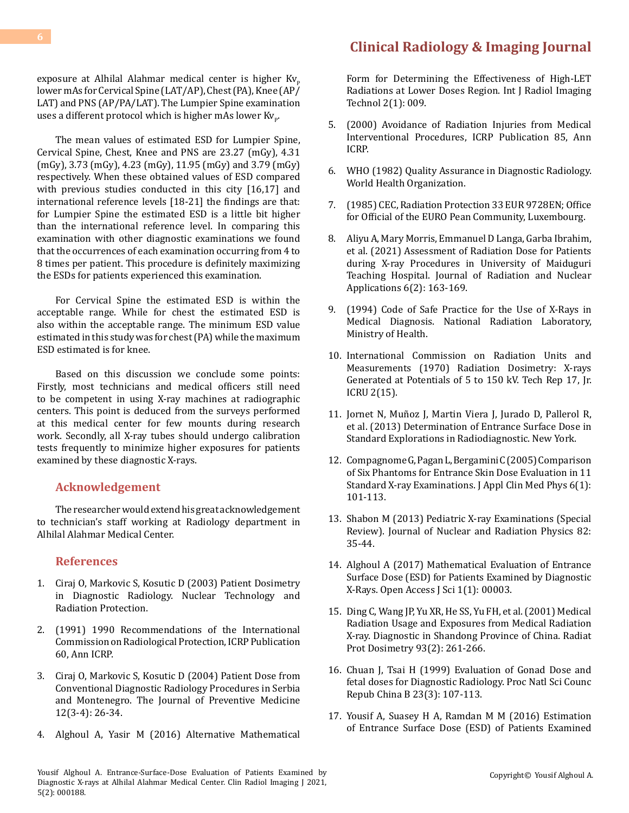exposure at Alhilal Alahmar medical center is higher  $Kv_p$ lower mAs for Cervical Spine (LAT/AP), Chest (PA), Knee (AP/ LAT) and PNS (AP/PA/LAT). The Lumpier Spine examination uses a different protocol which is higher mAs lower  $\rm{Kv_{p}.}$ 

The mean values of estimated ESD for Lumpier Spine, Cervical Spine, Chest, Knee and PNS are 23.27 (mGy), 4.31 (mGy), 3.73 (mGy), 4.23 (mGy), 11.95 (mGy) and 3.79 (mGy) respectively. When these obtained values of ESD compared with previous studies conducted in this city [16,17] and international reference levels [18-21] the findings are that: for Lumpier Spine the estimated ESD is a little bit higher than the international reference level. In comparing this examination with other diagnostic examinations we found that the occurrences of each examination occurring from 4 to 8 times per patient. This procedure is definitely maximizing the ESDs for patients experienced this examination.

For Cervical Spine the estimated ESD is within the acceptable range. While for chest the estimated ESD is also within the acceptable range. The minimum ESD value estimated in this study was for chest (PA) while the maximum ESD estimated is for knee.

Based on this discussion we conclude some points: Firstly, most technicians and medical officers still need to be competent in using X-ray machines at radiographic centers. This point is deduced from the surveys performed at this medical center for few mounts during research work. Secondly, all X-ray tubes should undergo calibration tests frequently to minimize higher exposures for patients examined by these diagnostic X-rays.

### **Acknowledgement**

The researcher would extend his great acknowledgement to technician's staff working at Radiology department in Alhilal Alahmar Medical Center.

### **References**

- 1. [Ciraj O, Markovic S, Kosutic D \(2003\) Patient Dosimetry](http://ntrp.vinca.rs/2003_1/1_2003%20Ciraj.pdf) [in Diagnostic Radiology. Nuclear Technology and](http://ntrp.vinca.rs/2003_1/1_2003%20Ciraj.pdf) [Radiation Protection.](http://ntrp.vinca.rs/2003_1/1_2003%20Ciraj.pdf)
- 2. [\(1991\) 1990 Recommendations of the International](https://www.icrp.org/publication.asp?id=icrp%20publication%2060) [Commission on Radiological Protection, ICRP Publication](https://www.icrp.org/publication.asp?id=icrp%20publication%2060) [60, Ann ICRP.](https://www.icrp.org/publication.asp?id=icrp%20publication%2060)
- 3. [Ciraj O, Markovic S, Kosutic D \(2004\) Patient Dose from](https://www.yumpu.com/en/document/read/23678020/patient-dose-from-conventional-diagnostic-radiology-procedures-in) [Conventional Diagnostic Radiology Procedures in Serbia](https://www.yumpu.com/en/document/read/23678020/patient-dose-from-conventional-diagnostic-radiology-procedures-in) [and Montenegro. The Journal of Preventive Medicine](https://www.yumpu.com/en/document/read/23678020/patient-dose-from-conventional-diagnostic-radiology-procedures-in) [12\(3-4\): 26-34.](https://www.yumpu.com/en/document/read/23678020/patient-dose-from-conventional-diagnostic-radiology-procedures-in)
- 4. [Alghoul A, Yasir M \(2016\) Alternative Mathematical](https://clinmedjournals.org/articles/ijrit/international-journal-of-radiology-and-imaging-technology-ijrit-2-009.pdf)

[Form for Determining the Effectiveness of High-LET](https://clinmedjournals.org/articles/ijrit/international-journal-of-radiology-and-imaging-technology-ijrit-2-009.pdf) [Radiations at Lower Doses Region. Int J Radiol Imaging](https://clinmedjournals.org/articles/ijrit/international-journal-of-radiology-and-imaging-technology-ijrit-2-009.pdf) [Technol 2\(1\): 009.](https://clinmedjournals.org/articles/ijrit/international-journal-of-radiology-and-imaging-technology-ijrit-2-009.pdf)

- 5. [\(2000\) Avoidance of Radiation Injuries from Medical](https://www.icrp.org/publication.asp?id=ICRP%20Publication%2085) [Interventional Procedures, ICRP Publication 85, Ann](https://www.icrp.org/publication.asp?id=ICRP%20Publication%2085)  [ICRP.](https://www.icrp.org/publication.asp?id=ICRP%20Publication%2085)
- 6. [WHO \(1982\) Quality Assurance in Diagnostic Radiology.](http://apps.who.int/iris/bitstream/handle/10665/39095/9241541644.pdf?sequence=1)  [World Health Organization.](http://apps.who.int/iris/bitstream/handle/10665/39095/9241541644.pdf?sequence=1)
- 7. (1985) CEC, Radiation Protection 33 EUR 9728EN; Office for Official of the EURO Pean Community, Luxembourg.
- 8. [Aliyu A, Mary Morris, Emmanuel D Langa, Garba Ibrahim,](http://www.naturalspublishing.com/Article.asp?ArtcID=23982)  [et al. \(2021\) Assessment of Radiation Dose for Patients](http://www.naturalspublishing.com/Article.asp?ArtcID=23982)  [during X-ray Procedures in University of Maiduguri](http://www.naturalspublishing.com/Article.asp?ArtcID=23982) [Teaching Hospital. Journal of Radiation and Nuclear](http://www.naturalspublishing.com/Article.asp?ArtcID=23982)  [Applications 6\(2\): 163-169.](http://www.naturalspublishing.com/Article.asp?ArtcID=23982)
- 9. [\(1994\) Code of Safe Practice for the Use of X-Rays in](file:///D:/Medwin_PDFs/PDFs/PDFs%20Done/CRIJ/Volume%205%20(2021)/Issue%201/88.%20CRIJ-RA-21-195/1625533)  [Medical Diagnosis. National Radiation Laboratory,](file:///D:/Medwin_PDFs/PDFs/PDFs%20Done/CRIJ/Volume%205%20(2021)/Issue%201/88.%20CRIJ-RA-21-195/1625533)  [Ministry of Health.](file:///D:/Medwin_PDFs/PDFs/PDFs%20Done/CRIJ/Volume%205%20(2021)/Issue%201/88.%20CRIJ-RA-21-195/1625533)
- 10. [International Commission on Radiation Units and](https://academic.oup.com/jicru/article-abstract/os9/2/NP/2924171?redirectedFrom=PDF) [Measurements \(1970\) Radiation Dosimetry: X-rays](https://academic.oup.com/jicru/article-abstract/os9/2/NP/2924171?redirectedFrom=PDF) [Generated at Potentials of 5 to 150 kV. Tech Rep 17, Jr.](https://academic.oup.com/jicru/article-abstract/os9/2/NP/2924171?redirectedFrom=PDF) [ICRU 2\(15\).](https://academic.oup.com/jicru/article-abstract/os9/2/NP/2924171?redirectedFrom=PDF)
- 11. [Jornet N, Muñoz J, Martin Viera J, Jurado D, Pallerol R,](http://irpa11.irpa.net/pdfs/3b18.pdf)  [et al. \(2013\) Determination of Entrance Surface Dose in](http://irpa11.irpa.net/pdfs/3b18.pdf) [Standard Explorations in Radiodiagnostic. New York.](http://irpa11.irpa.net/pdfs/3b18.pdf)
- 12. [Compagnome G, Pagan L, Bergamini C \(2005\) Comparison](https://www.ncbi.nlm.nih.gov/pmc/articles/PMC5723512/)  [of Six Phantoms for Entrance Skin Dose Evaluation in 11](https://www.ncbi.nlm.nih.gov/pmc/articles/PMC5723512/)  [Standard X-ray Examinations. J Appl Clin Med Phys 6\(1\):](https://www.ncbi.nlm.nih.gov/pmc/articles/PMC5723512/) [101-113.](https://www.ncbi.nlm.nih.gov/pmc/articles/PMC5723512/)
- 13. [Shabon M \(2013\) Pediatric X-ray Examinations \(Special](http://www.afaqscientific.com/jnrp/v8n005.pdf)  [Review\). Journal of Nuclear and Radiation Physics 82:](http://www.afaqscientific.com/jnrp/v8n005.pdf) [35-44.](http://www.afaqscientific.com/jnrp/v8n005.pdf)
- 14. [Alghoul A \(2017\) Mathematical Evaluation of Entrance](https://medcraveonline.com/OAJS/mathematical-evaluation-of-entrance-surface-dose-esd-for-patients-examined-by-diagnostic-x-rays.html)  [Surface Dose \(ESD\) for Patients Examined by Diagnostic](https://medcraveonline.com/OAJS/mathematical-evaluation-of-entrance-surface-dose-esd-for-patients-examined-by-diagnostic-x-rays.html) [X-Rays. Open Access J Sci 1\(1\): 00003.](https://medcraveonline.com/OAJS/mathematical-evaluation-of-entrance-surface-dose-esd-for-patients-examined-by-diagnostic-x-rays.html)
- 15. [Ding C, Wang JP, Yu XR, He SS, Yu FH, et al. \(2001\) Medical](https://pubmed.ncbi.nlm.nih.gov/11548352/)  [Radiation Usage and Exposures from Medical Radiation](https://pubmed.ncbi.nlm.nih.gov/11548352/) [X-ray. Diagnostic in Shandong Province of China. Radiat](https://pubmed.ncbi.nlm.nih.gov/11548352/)  [Prot Dosimetry 93\(2\): 261-266.](https://pubmed.ncbi.nlm.nih.gov/11548352/)
- 16. [Chuan J, Tsai H \(1999\) Evaluation of Gonad Dose and](https://pubmed.ncbi.nlm.nih.gov/10492891/)  [fetal doses for Diagnostic Radiology. Proc Natl Sci Counc](https://pubmed.ncbi.nlm.nih.gov/10492891/)  [Repub China B 23\(3\): 107-113.](https://pubmed.ncbi.nlm.nih.gov/10492891/)
- 17. [Yousif A, Suasey H A, Ramdan M M \(2016\) Estimation](https://sebhau.edu.ly/journal/index.php/jopas/article/view/9)  [of Entrance Surface Dose \(ESD\) of Patients Examined](https://sebhau.edu.ly/journal/index.php/jopas/article/view/9)